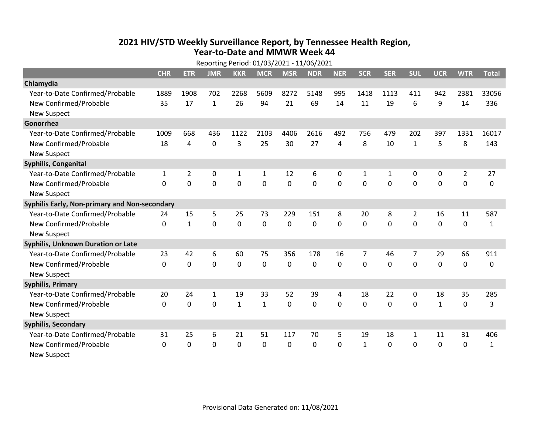## **2021 HIV /STD Weekly Surveillance Report, by Tennessee Health Region, Year‐to‐Date and MMWR Week 44** Reporting Period: 01/03/2021 ‐ 11/06/2021

|                                               | Reporting Period: 01/03/2021 - 11/06/2021 |                |                |              |              |                |            |              |              |              |                |              |                |              |
|-----------------------------------------------|-------------------------------------------|----------------|----------------|--------------|--------------|----------------|------------|--------------|--------------|--------------|----------------|--------------|----------------|--------------|
|                                               | <b>CHR</b>                                | <b>ETR</b>     | <b>JMR</b>     | <b>KKR</b>   | <b>MCR</b>   | <b>MSR</b>     | <b>NDR</b> | <b>NER</b>   | <b>SCR</b>   | <b>SER</b>   | <b>SUL</b>     | <b>UCR</b>   | <b>WTR</b>     | <b>Total</b> |
| Chlamydia                                     |                                           |                |                |              |              |                |            |              |              |              |                |              |                |              |
| Year-to-Date Confirmed/Probable               | 1889                                      | 1908           | 702            | 2268         | 5609         | 8272           | 5148       | 995          | 1418         | 1113         | 411            | 942          | 2381           | 33056        |
| New Confirmed/Probable                        | 35                                        | 17             | $\mathbf{1}$   | 26           | 94           | 21             | 69         | 14           | 11           | 19           | 6              | 9            | 14             | 336          |
| <b>New Suspect</b>                            |                                           |                |                |              |              |                |            |              |              |              |                |              |                |              |
| Gonorrhea                                     |                                           |                |                |              |              |                |            |              |              |              |                |              |                |              |
| Year-to-Date Confirmed/Probable               | 1009                                      | 668            | 436            | 1122         | 2103         | 4406           | 2616       | 492          | 756          | 479          | 202            | 397          | 1331           | 16017        |
| New Confirmed/Probable                        | 18                                        | 4              | $\mathbf 0$    | 3            | 25           | 30             | 27         | 4            | 8            | 10           | $\mathbf{1}$   | 5            | 8              | 143          |
| <b>New Suspect</b>                            |                                           |                |                |              |              |                |            |              |              |              |                |              |                |              |
| <b>Syphilis, Congenital</b>                   |                                           |                |                |              |              |                |            |              |              |              |                |              |                |              |
| Year-to-Date Confirmed/Probable               | 1                                         | $\overline{2}$ | $\mathbf 0$    | $\mathbf{1}$ | 1            | 12             | 6          | 0            | $\mathbf{1}$ | $\mathbf{1}$ | 0              | 0            | $\overline{2}$ | 27           |
| New Confirmed/Probable                        | $\Omega$                                  | 0              | $\mathbf 0$    | 0            | $\mathbf 0$  | $\mathbf 0$    | 0          | $\Omega$     | $\Omega$     | 0            | 0              | 0            | $\mathbf 0$    | 0            |
| <b>New Suspect</b>                            |                                           |                |                |              |              |                |            |              |              |              |                |              |                |              |
| Syphilis Early, Non-primary and Non-secondary |                                           |                |                |              |              |                |            |              |              |              |                |              |                |              |
| Year-to-Date Confirmed/Probable               | 24                                        | 15             | 5              | 25           | 73           | 229            | 151        | 8            | 20           | 8            | 2              | 16           | 11             | 587          |
| New Confirmed/Probable                        | 0                                         | $\mathbf{1}$   | 0              | $\mathbf 0$  | $\mathbf 0$  | $\overline{0}$ | 0          | $\Omega$     | $\Omega$     | $\Omega$     | 0              | $\mathbf 0$  | $\mathbf 0$    | $\mathbf{1}$ |
| <b>New Suspect</b>                            |                                           |                |                |              |              |                |            |              |              |              |                |              |                |              |
| <b>Syphilis, Unknown Duration or Late</b>     |                                           |                |                |              |              |                |            |              |              |              |                |              |                |              |
| Year-to-Date Confirmed/Probable               | 23                                        | 42             | 6              | 60           | 75           | 356            | 178        | 16           | 7            | 46           | $\overline{7}$ | 29           | 66             | 911          |
| New Confirmed/Probable                        | 0                                         | $\mathbf 0$    | $\overline{0}$ | 0            | $\mathbf 0$  | 0              | $\Omega$   | $\Omega$     | $\Omega$     | $\Omega$     | 0              | $\mathbf 0$  | $\mathbf 0$    | 0            |
| <b>New Suspect</b>                            |                                           |                |                |              |              |                |            |              |              |              |                |              |                |              |
| <b>Syphilis, Primary</b>                      |                                           |                |                |              |              |                |            |              |              |              |                |              |                |              |
| Year-to-Date Confirmed/Probable               | 20                                        | 24             | $\mathbf{1}$   | 19           | 33           | 52             | 39         | 4            | 18           | 22           | 0              | 18           | 35             | 285          |
| New Confirmed/Probable                        | $\mathbf 0$                               | $\mathbf 0$    | 0              | $\mathbf{1}$ | $\mathbf{1}$ | 0              | 0          | $\Omega$     | $\Omega$     | 0            | 0              | $\mathbf{1}$ | $\mathbf 0$    | 3            |
| <b>New Suspect</b>                            |                                           |                |                |              |              |                |            |              |              |              |                |              |                |              |
| <b>Syphilis, Secondary</b>                    |                                           |                |                |              |              |                |            |              |              |              |                |              |                |              |
| Year-to-Date Confirmed/Probable               | 31                                        | 25             | 6              | 21           | 51           | 117            | 70         | 5            | 19           | 18           | 1              | 11           | 31             | 406          |
| New Confirmed/Probable                        | 0                                         | 0              | 0              | 0            | $\Omega$     | 0              | 0          | $\mathbf{0}$ | $\mathbf{1}$ | 0            | $\mathbf{0}$   | 0            | $\mathbf 0$    | $\mathbf{1}$ |
| <b>New Suspect</b>                            |                                           |                |                |              |              |                |            |              |              |              |                |              |                |              |